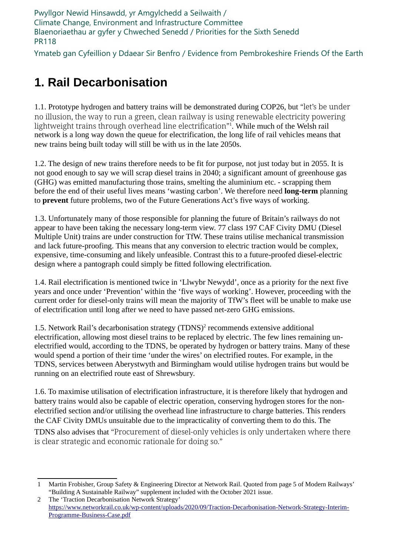Pwyllgor Newid Hinsawdd, yr Amgylchedd a Seilwaith / Climate Change, Environment and Infrastructure Committee Blaenoriaethau ar gyfer y Chweched Senedd / Priorities for the Sixth Senedd PR118

Ymateb gan Cyfeillion y Ddaear Sir Benfro / Evidence from Pembrokeshire Friends Of the Earth

## 1. Rail Decarbonisation

1.1. Prototype hydrogen and battery trains will be demonstrated during COP26, but "let's be under no illusion, the way to run a green, clean railway is using renewable electricity powering lightweight trains through overhead line electrification"<sup>1</sup> . While much of the Welsh rail network is a long way down the queue for electrification, the long life of rail vehicles means that new trains being built today will still be with us in the late 2050s.

1.2. The design of new trains therefore needs to be fit for purpose, not just today but in 2055. It is not good enough to say we will scrap diesel trains in 2040; a significant amount of greenhouse gas (GHG) was emitted manufacturing those trains, smelting the aluminium etc. - scrapping them before the end of their useful lives means 'wasting carbon'. We therefore need **long-term** planning to prevent future problems, two of the Future Generations Act's five ways of working.

1.3. Unfortunately many of those responsible for planning the future of Britain's railways do not appear to have been taking the necessary long-term view. 77 class 197 CAF Civity DMU (Diesel Multiple Unit) trains are under construction for TfW. These trains utilise mechanical transmission and lack future-proofing. This means that any conversion to electric traction would be complex, expensive, time-consuming and likely unfeasible. Contrast this to a future-proofed diesel-electric design where a pantograph could simply be fitted following electrification.

1.4. Rail electrification is mentioned twice in 'Llwybr Newydd', once as a priority for the next five years and once under 'Prevention' within the 'five ways of working'. However, proceeding with the current order for diesel-only trains will mean the majority of TfW's fleet will be unable to make use of electrification until long after we need to have passed net-zero GHG emissions.

1.5. Network Rail's decarbonisation strategy (TDNS)<sup>2</sup> recommends extensive additional electrification, allowing most diesel trains to be replaced by electric. The few lines remaining unelectrified would, according to the TDNS, be operated by hydrogen or battery trains. Many of these would spend a portion of their time 'under the wires' on electrified routes. For example, in the TDNS, services between Aberystwyth and Birmingham would utilise hydrogen trains but would be running on an electrified route east of Shrewsbury.

1.6. To maximise utilisation of electrification infrastructure, it is therefore likely that hydrogen and battery trains would also be capable of electric operation, conserving hydrogen stores for the nonelectrified section and/or utilising the overhead line infrastructure to charge batteries. This renders the CAF Civity DMUs unsuitable due to the impracticality of converting them to do this. The TDNS also advises that "Procurement of diesel-only vehicles is only undertaken where there is clear strategic and economic rationale for doing so."

<sup>1</sup> Martin Frobisher, Group Safety & Engineering Director at Network Rail. Quoted from page 5 of Modern Railways' "Building A Sustainable Railway" supplement included with the October 2021 issue.

<sup>2</sup> The 'Traction Decarbonisation Network Strategy' https://www.networkrail.co.uk/wp-content/uploads/2020/09/Traction-Decarbonisation-Network-Strategy-Interim-Programme-Business-Case.pdf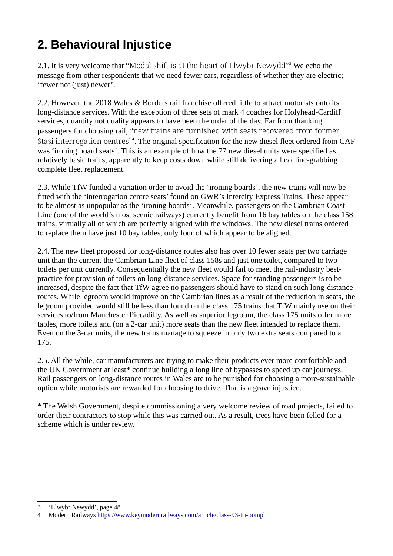## 2. Behavioural Injustice

2.1. It is very welcome that "Modal shift is at the heart of Llwybr Newydd"<sup>3</sup> We echo the message from other respondents that we need fewer cars, regardless of whether they are electric; 'fewer not (just) newer'.

2.2. However, the 2018 Wales & Borders rail franchise offered little to attract motorists onto its long-distance services. With the exception of three sets of mark 4 coaches for Holyhead-Cardiff services, quantity not quality appears to have been the order of the day. Far from thanking passengers for choosing rail, "new trains are furnished with seats recovered from former Stasi interrogation centres"<sup>4</sup>. The original specification for the new diesel fleet ordered from CAF was 'ironing board seats'. This is an example of how the 77 new diesel units were specified as relatively basic trains, apparently to keep costs down while still delivering a headline-grabbing complete fleet replacement.

2.3. While TfW funded a variation order to avoid the 'ironing boards', the new trains will now be fitted with the 'interrogation centre seats' found on GWR's Intercity Express Trains. These appear to be almost as unpopular as the 'ironing boards'. Meanwhile, passengers on the Cambrian Coast Line (one of the world's most scenic railways) currently benefit from 16 bay tables on the class 158 trains, virtually all of which are perfectly aligned with the windows. The new diesel trains ordered to replace them have just 10 bay tables, only four of which appear to be aligned.

2.4. The new fleet proposed for long-distance routes also has over 10 fewer seats per two carriage unit than the current the Cambrian Line fleet of class 158s and just one toilet, compared to two toilets per unit currently. Consequentially the new fleet would fail to meet the rail-industry bestpractice for provision of toilets on long-distance services. Space for standing passengers is to be increased, despite the fact that TfW agree no passengers should have to stand on such long-distance routes. While legroom would improve on the Cambrian lines as a result of the reduction in seats, the legroom provided would still be less than found on the class 175 trains that TfW mainly use on their services to/from Manchester Piccadilly. As well as superior legroom, the class 175 units offer more tables, more toilets and (on a 2-car unit) more seats than the new fleet intended to replace them. Even on the 3-car units, the new trains manage to squeeze in only two extra seats compared to a 175.

2.5. All the while, car manufacturers are trying to make their products ever more comfortable and the UK Government at least\* continue building a long line of bypasses to speed up car journeys. Rail passengers on long-distance routes in Wales are to be punished for choosing a more-sustainable option while motorists are rewarded for choosing to drive. That is a grave injustice.

\* The Welsh Government, despite commissioning a very welcome review of road projects, failed to order their contractors to stop while this was carried out. As a result, trees have been felled for a scheme which is under review.

<sup>3 &#</sup>x27;Llwybr Newydd', page 48

<sup>4</sup> Modern Railways https://www.keymodernrailways.com/article/class-93-tri-oomph